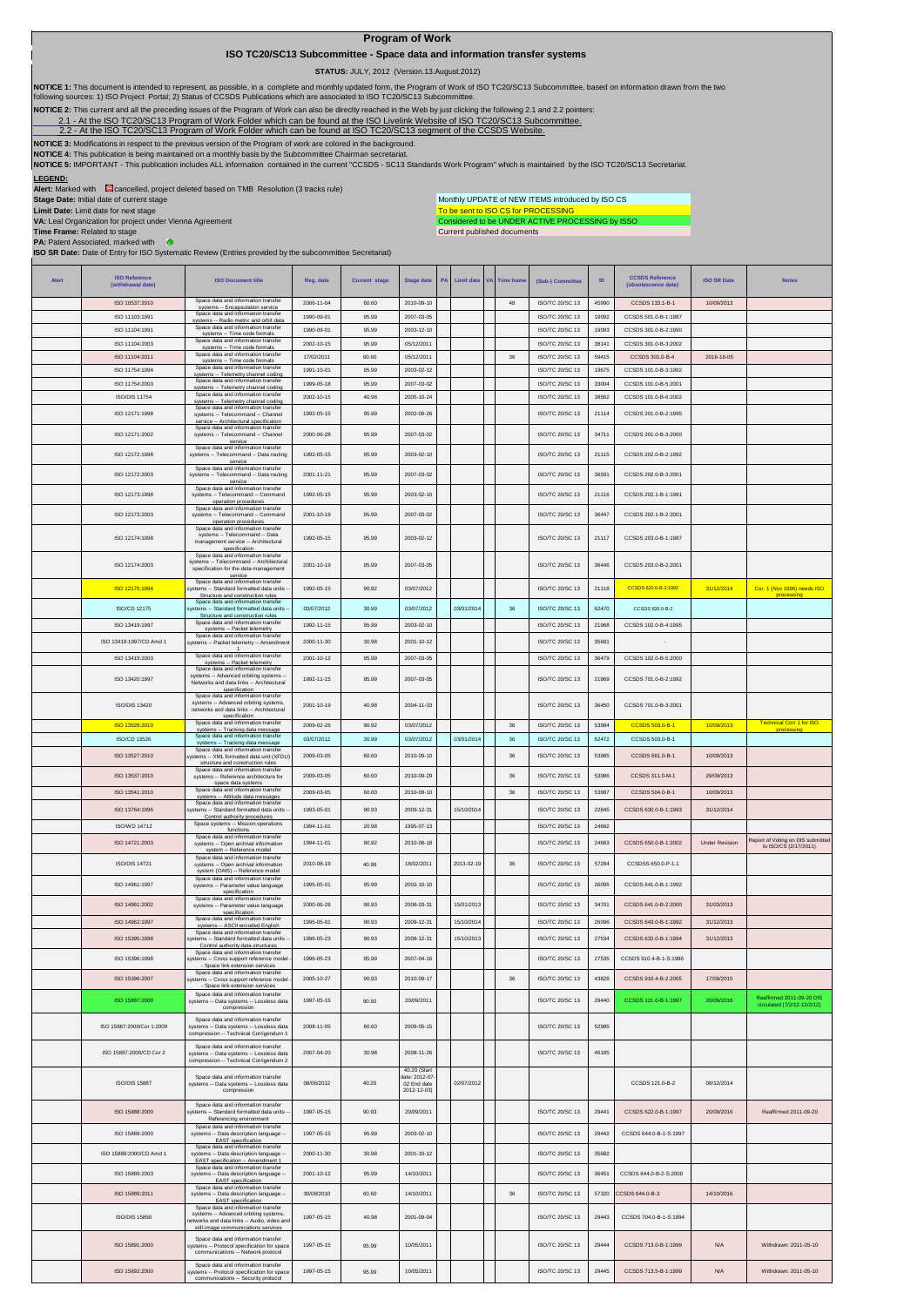## **Program of Work**

 **ISO TC20/SC13 Subcommittee - Space data and information transfer systems**

 **STATUS:** JULY, 2012 (Version.13.August.2012)

To be sent to ISO CS for PROCESSING<br>Considered to be UNDER ACTIVE PROCESSING by ISSO Monthly UPDATE of NEW ITEMS introduced by ISO CS

Current published documents

NOTICE 1: This document is intended to represent, as possible, in a complete and monthly updated form, the Program of Work of ISO TC20/SC13 Subcommittee, based on information drawn from the two<br>following sources: 1) ISO Pr

**NOTICE 2:** This current and all the preceding issues of the Program of Work can also be direclty reached in the Web by just clicking the following 2.1 and 2.2 pointers:

-At the ISO TC20/SC13 Program of Work Folder which can be found at the ISO Livelink Website of ISO TC20/SC13 Subcommittee.

[2.2 - A](http://cwe.ccsds.org/cmc/docs/Forms/AllItems.aspx?RootFolder=%2fcmc%2fdocs%2fISO%20TC20%2dSC13%2fISO%20TC20%2dSC13%20Meeting%20Minutes%20and%20Presentations&FolderCTID=&View=%7bD5DD30F7%2d53FC%2d45B9%2d8B93%2d709B280A475B%7d)t the ISO TC20/SC13 Program of Work Folder which can be found at ISO TC20/SC13 segment of the CCSDS Website.

**NOTICE 3:** Modifications in respect to the previous version of the Program of work are colored in the background.

NOTICE 4: This publication is being maintained on a monthly basis by the Subcommittee Chairman secretariat.

**LEGEND: NOTICE 5:** IMPORTANT - This publication includes ALL information contained in the current "CCSDS - SC13 Standards Work Program" which is maintained by the ISO TC20/SC13 Secretariat.

**Alert:** Marked with **C** cancelled, project deleted based on TMB Resolution (3 tracks rule)

**Stage Date:** Initial date of current stage

**Limit Date:** Limit date for next stage

ISO 15892:2000

Space data and information transfer systems -- Protocol specification for space communications -- Security protocol

**VA:** Leal Organization for project under Vienna Agreement

**Time Frame:** Related to stage

**PA:** Patent Associated, marked with  $\bullet$ 

**ISO SR Date:** Date of Entry for ISO Systematic Review (Entries provided by the subcommittee Secretariat)

**Alert ISO Reference (withdrawal date) ISO Document title Reg. date Current stage Stage date PA Limit date VA Time frame (Sub-) Committee ID CCSDS Reference (obsolescence date) ISO SR Date Notes** ISO 10537:2010 systems -- Encapsulation service 2006-11-04 60.60 2010-09-10 <sup>48</sup> ISO/TC 20/SC 13 <sup>45990</sup> CCSDS 133.1-B-1 10/09/2013 ISO 11103:1991 Space data and information transfer systems -- Radio metric and orbit data 1990-09-01 95.99 2007-03-05 ISO/TC 20/SC 13 <sup>19092</sup> CCSDS 501.0-B-1:1987 ISO 11104:1991 systems -- Time code formats 1990-09-01 95.99 2003-12-10 ISO/TC 20/SC 13 <sup>19093</sup> CCSDS 301.0-B-2:1990 ISO 11104:2003 Spa systems -- Time code formats 2002-10-15 95.99 05/12/2011 ISO/TC 20/SC 13 <sup>38141</sup> CCSDS 301.0-B-3:2002 ISO 11104:2011 17/02/2011 60.60 05/12/2011 36 BO/TC 20/SC 13 59415 CCSDS 301.0-B-4 2016-16-05<br>1991-10-01 95.99 2003-02-12 1000-2016-18 BO/TC 20/SC 13 19675 CCSDS 101.0-B-3:1992 Systems - Time code formats<br>ISO 11754:1994 Space data and information transfer systems -- Telemetry channel coding 1991-10-01 95.99 2003-02-12 ISO/TC 20/SC 13 <sup>19675</sup> CCSDS 101.0-B-3:1992 ISO 11754:2 systems -- Telemetry channel coding 1999-05-18 95.99 2007-03-02 ISO/TC 20/SC 13 <sup>33004</sup> CCSDS 101.0-B-5:2001 ISO/DIS 11754 Space data and information transfer systems -- Telemetry channel coding 2002-10-15 40.98 2005-10-24 ISO/TC 20/SC 13 <sup>38562</sup> CCSDS 101.0-B-6:2002 ISO 12171:1998 Space data and information transfer systems -- Telecommand -- Channel service -- Architectural specification 1992-05-15 95.99 2002-09-26 ISO/TC 20/SC 13 21114 CCSDS 201.0-B-2:1995 ISO 12171:2002 Space data and information transfer systems -- Telecommand -- Channel service Space data and information transfer systems -- Telecommand -- Data routing 2000-06-28 95.99 2007-03-02 ISO/TC 20/SC 13 34711 CCSDS 201.0-B-3:2000 ISO 12172:1998 service<br>
Space data and information transfer<br>
systems -- Telecommand -- Data routing<br>
service 1992-05-15 95.99 2003-02-10 ISO/TC 20/SC 13 21115 CCSDS 202.0-B-2:1992 ISO 12172:2003 2001-11-21 95.99 2007-03-02 ISO/TC 20/SC 13 36591 CCSDS 202.0-B-3:2001 ISO 12173:1998 Space data and information transfer systems -- Telecommand -- Command operation procedures Space data and information transfer systems -- Telecommand -- Command 1992-05-15 95.99 2003-02-10 ISO/TC 20/SC 13 21116 CCSDS 202.1-B-1:1991 ISO 12173:2003 operation procedures 2001-10-19 95.99 2007-03-02 ISO/TC 20/SC 13 36447 CCSDS 202.1-B-2:2001 ISO 12174:1998 Space data and information transfer systems -- Telecommand -- Data management service -- Architectural specification Space data and information transfer systems -- Telecommand -- Architectural specification for the data management 1992-05-15 95.99 2003-02-12 ISO/TC 20/SC 13 21117 CCSDS 203.0-B-1:1987 ISO 12174:2003 service<br>Space data and information transfer<br>systems -- Standard formatted data units --2001-10-19 95.99 2007-03-05 ISO/TC 20/SC 13 36446 CCSDS 203.0-B-2:2001 ISO 12175:1994 Structure and construction rules Space data and information transfer systems -- Standard formatted data units -- 1992-05-15 90.92 03/07/2012 ISO/TC 20/SC 13 21118 CCSDS 620.0-B-2:1992 31/12/2014 Cor. 1 (Nov 1996) needs ISO processing ISO/CD 12175 Space data and information transfer<br>
Space data and information transfer<br>
Space data and information transfer<br>
Space data and information transfer<br>
Space data and information transfer<br>
Space data and information transfer<br> 03/07/2012 30.99 03/07/2012 03/01/2014 36 ISO/TC 20/SC 13 62470 CCSDS 620.0-B-2 ISO 13419:1997/CD Amd 1 2000-11-30 30.98 2001-10-12 II ISO/TC 20/SC 13 3568 ISO 13419:2003 systems -- Packet telemetry 2001-10-12 95.99 2007-03-05 ISO/TC 20/SC 13 <sup>36479</sup> CCSDS 102.0-B-5:2000 ISO 13420:1997 and information trans<br>-- Packet telemetry<br>and information trans systems -- Advanced orbiting systems -- Networks and data links -- Architectural specification 1992-11-15 95.99 2007-03-05 ISO/TC 20/SC 13 21969 CCSDS 701.0-B-2:1992 ISO/DIS 13420 Space data and information transfer systems -- Advanced orbiting systems, networks and data links -- Architectural specification 2001-10-19 40.98 2004-11-03 ISO/TC 20/SC 13 36450 CCSDS 701.0-B-3:2001 ISO 13526:2010 Space data and information transfer Space data and information transfer | 2009-02-26 | 90.92 03/07/2012 | | | 36 | ISO/TC 20/SC 13 | 53984 <mark>CCSDS 503.0-B-1 | 10/09/2013 <sup>Techni</sup>cal Corr 1 for ISO</mark><br>systems -- Tracking data message | 2009-02-26 | 90.92 | 03/07 processing ISO/CD 13526 Space data and information transfer systems -- Tracking data message 03/07/2012 30.99 03/07/2012 03/01/2014 <sup>36</sup> ISO/TC 20/SC 13 <sup>62472</sup> CCSDS 503.0-B-1 ISO 13527:2010 Space data and information transfer systems -- XML formatted data unit (XFDU) structure and construction rules 2009-03-05 60.60 2010-09-10 36 ISO/TC 20/SC 13 53985 CCSDS 661.0-B-1 10/09/2013 ISO 13537:2010 Space data and information transfer systems -- Reference architecture for space data systems 2009-03-05 60.60 2010-09-29 36 ISO/TC 20/SC 13 53986 CCSDS 311.0-M-1 29/09/2013 ISO 13541:2010 Space data and information transfer systems -- Attitude data messages 2009-03-05 60.60 2010-09-10 <sup>36</sup> ISO/TC 20/SC 13 <sup>53987</sup> CCSDS 504.0-B-1 10/09/2013 ISO 13764:1996 Space data and information transfer systems -- Standard formatted data units -- Control authority procedures 1993-05-01 90.93 2009-12-31 15/10/2014 ISO/TC 20/SC 13 22845 CCSDS 630.0-B-1:1993 31/12/2014 ISO/WD 14712 Space systems -- Mission oper functions 1994-11-01 20.98 1995-07-13 ISO/TC 20/SC 13 <sup>24682</sup> ISO 14721:2003 Space data and information transfer systems -- Open archival information system -- Reference model Space data and information transfer systems -- Open archival information 1994-11-01 90.92 2010-08-18 ISO/TC 20/SC 13 <sup>24683</sup> CCSDS 650.0-B-1:2002 Under Revision Report of Voting on DIS submitted ort of Voting on DK<br>to ISO/CS (2/17/ ISO/DIS 14721 (OAIS) -- Reference mode 2010-08-19 40.99 18/02/2011 2013-02-19 36 ISO/TC 20/SC 13 57284 CCSDSS 650.0-P-1.1 ISO 14961:1997 Space data and information transfer systems -- Parameter value language specification Space data and information transfer systems -- Parameter value language 1995-05-01 95.99 2002-10-10 ISO/TC 20/SC 13 26095 CCSDS 641.0-B-1:1992 ISO 14961:2002 specification 2000-06-28 90.93 2008-03-31 15/01/2013 ISO/TC 20/SC 13 34701 CCSDS 641.0-B-2:2000 31/03/2013 ISO 14962:1997 Space data and information transfer 1995-05-01 90.93 2009-12-31 15/10/2014 ISO/TC 20/SC 13 26096 CCSDS 643.0-B-1:1992 31/12/2013<br>Space data and information transfer<br>Space data and information transfer ISO 15395:1998 systems -- Standard formatted data units -- Control authority data structures 1996-05-23 90.93 2008-12-31 15/10/2013 ISO/TC 20/SC 13 27534 CCSDS 632.0-B-1:1994 31/12/2013 ISO 15396:1998 Space data and information transfer systems -- Cross support reference model - - Space link extension services Space data and information transfer 1996-05-23 95.99 2007-04-16 ISO/TC 20/SC 13 27535 CCSDS 910.4-B-1-S:1996 ISO 15396:2007 systems -- Cross support reference model - - Space link extension services 2005-10-27 90.93 2010-09-17 36 ISO/TC 20/SC 13 43828 CCSDS 910.4-B-2:2005 17/09/2015 ISO 15887:2000 Space data and information transfer systems -- Data systems -- Lossless data compression 1997-05-15 90.92 2009/2011 ISO/TC 20/SC 13 29440 [CCSDS 121.0-B-1:1997](http://public.ccsds.org/publications/archive/121x0b1c2.pdf) 2009/2016 circulated (7/2/12-12/2/12) ISO 15887:2000/Cor 1:2009 Space data and information transfer systems -- Data systems -- Lossless data compression -- Technical Corrigendum 1 2008-11-05 60.60 2009-05-15 ISO/TC 20/SC 13 52985 ISO 15887:2000/CD Cor 2 Space data and information transfer systems -- Data systems -- Lossless data compression -- Technical Corrigendum 2 2007-04-20 30.98 2008-11-26 ISO/TC 20/SC 13 46185 ISO/DIS 15887 Space data and information transfer systems -- Data systems -- Lossless data compression 08/06/2012 40.20 40.20 (Start date: 2012-07- 02 End date 2012-12-03) 02/07/2012 CCSDS 121.0-B-2 08/12/2014 ISO 15888:2000 Space data and information transfer systems -- Standard formatted data units -- Referencing environment Space data and information transfer 1997-05-15 90.93 20/09/2011 ISO/TC 20/SC 13 29441 [CCSDS 622.0-B-1:1997](http://public.ccsds.org/publications/archive/622x0b1.pdf) 20/09/2016 Reaffirmed 2011-09-20 **ISO 158** systems -- Data description language --<br>EAST specification<br>Space data and information transfer 1997-05-15 95.99 2003-02-10 ISO/TC 20/SC 13 29442 [CCSDS 644.0-B-1-S:1997](http://public.ccsds.org/publications/archive/644x0b1s.pdf) ISO 15889:2000/CD Amd 1 systems -- Data description language -- EAST specification -- Amendment 1 2000-11-30 30.98 2001-10-12 ISO/TC 20/SC 13 35682 ISO 15889:2003 Space data and information transfer systems -- Data description language -- EAST specification<br>
Space data and information transfer<br>
systems -- Data description language --<br>
EAST specification<br>
Space data and information transfer 2001-10-12 95.99 14/10/2011 ISO/TC 20/SC 13 36451 [CCSDS 644.0-B-2-S:2000](http://public.ccsds.org/publications/archive/644x0b2s.pdf)  ISO 15889:2011 30/08/2010 60.60 14/10/2011 36 ISO/TC 20/SC 13 57320 CCSDS 644.0-B-3 14/10/2016 ISO/DIS 15890 systems -- Advanced orbiting systems, networks and data links -- Audio, video and still-image communications services 1997-05-15 40.98 2001-09-04 ISO/TC 20/SC 13 29443 [CCSDS 704.0-B-1-S:1994](http://public.ccsds.org/publications/archive/704x0b1s.pdf) ISO 15891:2000 Space data and information transfer systems -- Protocol specification for space communications -- Network protocol 1997-05-15 95.99 10/05/2011 ISO/TC 20/SC 13 29444 [CCSDS 713.0-B-1:1999](http://public.ccsds.org/publications/archive/713x0b1s.pdf) N/A Withdrawn: 2011-05-10

1997-05-15 95.99 10/05/2011 ISO/TC 20/SC 13 29445 [CCSDS 713.5-B-1:1999](http://public.ccsds.org/publications/archive/713x5b1sc1.pdf) N/A Withdrawn: 2011-05-10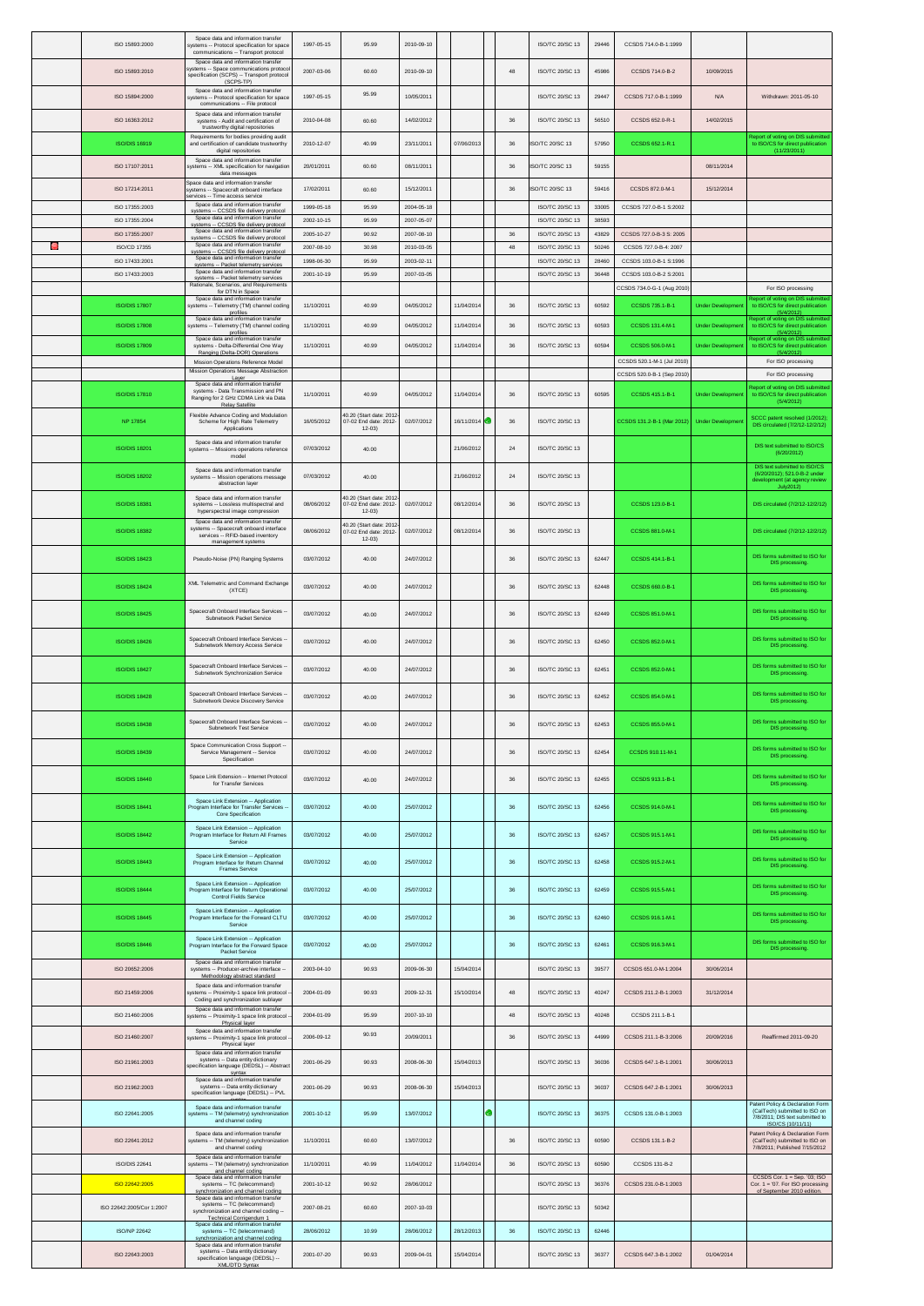|     | ISO 15893:2000                   | Space data and information transfer<br>systems -- Protocol specification for space<br>communications -- Transport protocol                                            | 1997-05-15               | 95.99                                                         | 2010-09-10               |            |             | ISO/TC 20/SC 13                    | 29446          | CCSDS 714.0-B-1:1999                            |                         |                                                                                               |
|-----|----------------------------------|-----------------------------------------------------------------------------------------------------------------------------------------------------------------------|--------------------------|---------------------------------------------------------------|--------------------------|------------|-------------|------------------------------------|----------------|-------------------------------------------------|-------------------------|-----------------------------------------------------------------------------------------------|
|     | ISO 15893:2010                   | Space data and information transfer<br>ystems -- Space communications protoco<br>specification (SCPS) -- Transport protocol                                           | 2007-03-06               | 60.60                                                         | 2010-09-10               |            | 48          | ISO/TC 20/SC 13                    | 45986          | CCSDS 714.0-B-2                                 | 10/09/2015              |                                                                                               |
|     | ISO 15894:2000                   | (SCPS-TP)<br>Space data and information transfer<br>systems -- Protocol specification for space<br>communications -- File protocol                                    | 1997-05-15               | 95.99                                                         | 10/05/2011               |            |             | ISO/TC 20/SC 13                    | 29447          | CCSDS 717.0-B-1:1999                            | N/A                     | Withdrawn: 2011-05-10                                                                         |
|     | ISO 16363:2012                   | Space data and information transfer<br>systems - Audit and certification of<br>trustworthy digital repositories                                                       | 2010-04-08               | 60.60                                                         | 14/02/2012               |            | 36          | ISO/TC 20/SC 13                    | 56510          | CCSDS 652.0-R-1                                 | 14/02/2015              |                                                                                               |
|     | ISO/DIS 16919                    | Requirements for bodies providing audit<br>and certification of candidate trustworthy<br>digital repositories                                                         | 2010-12-07               | 40.99                                                         | 23/11/2011               | 07/06/2013 | 36          | ISO/TC 20/SC 13                    | 57950          | CCSDS 652.1-R.1                                 |                         | teport of voting on DIS submitte<br>to ISO/CS for direct publication<br>(11/23/2011)          |
|     | ISO 17107:2011                   | Space data and information transfer<br>systems -- XML specification for navigation<br>data messages                                                                   | 20/01/2011               | 60.60                                                         | 08/11/2011               |            | 36          | <b>ISO/TC 20/SC 13</b>             | 59155          |                                                 | 08/11/2014              |                                                                                               |
|     | ISO 17214:2011                   | Space data and information transfer<br>ystems -- Spacecraft onboard interface<br>ervices -- Time access service                                                       | 17/02/2011               | 60.60                                                         | 15/12/2011               |            | 36          | ISO/TC 20/SC 13                    | 59416          | CCSDS 872.0-M-1                                 | 15/12/2014              |                                                                                               |
|     | ISO 17355:2003<br>ISO 17355:2004 | Space data and information transfer<br>systems -- CCSDS file delivery protoco<br>Space data and information transfer                                                  | 1999-05-18<br>2002-10-15 | 95.99<br>95.99                                                | 2004-05-18<br>2007-05-07 |            |             | ISO/TC 20/SC 13<br>ISO/TC 20/SC 13 | 33005<br>38593 | CCSDS 727.0-B-1 S:2002                          |                         |                                                                                               |
|     | ISO 17355:2007                   | systems -- CCSDS file delivery protocol<br>Space data and information transfer<br>svstems -- CCSDS file delivery protocol                                             | 2005-10-27               | 90.92                                                         | 2007-08-10               |            | 36          | ISO/TC 20/SC 13                    | 43829          | CCSDS 727.0-B-3 S: 2005                         |                         |                                                                                               |
| l=1 | ISO/CD 17355<br>ISO 17433:2001   | Space data and information transfer<br>svstems -- CCSDS file deliverv protocol<br>Space data and information transfer                                                 | 2007-08-10<br>1998-06-30 | 30.98<br>95.99                                                | 2010-03-05<br>2003-02-11 |            | 48          | ISO/TC 20/SC 13<br>ISO/TC 20/SC 13 | 50246<br>28460 | CCSDS 727.0-B-4: 2007<br>CCSDS 103.0-B-1 S:1996 |                         |                                                                                               |
|     | ISO 17433:2003                   | systems -- Packet telemetry services<br>Space data and information transfer<br>systems -- Packet telemetry services                                                   | 2001-10-19               | 95.99                                                         | 2007-03-05               |            |             | ISO/TC 20/SC 13                    | 36448          | CCSDS 103.0-B-2 S:2001                          |                         |                                                                                               |
|     | <b>ISO/DIS 17807</b>             | Rationale, Scenarios, and Requirements<br>for DTN in Space<br>Space data and information transfer                                                                     | 11/10/2011               | 40.99                                                         | 04/05/2012               | 11/04/2014 | 36          | ISO/TC 20/SC 13                    | 60592          | CCSDS 734.0-G-1 (Aug 2010)                      | <b>Under Developmen</b> | For ISO processing<br>eport of voting on DIS submitte                                         |
|     | <b>ISO/DIS 17808</b>             | systems -- Telemetry (TM) channel coding<br>profiles<br>Space data and information transfer                                                                           | 11/10/2011               | 40.99                                                         | 04/05/2012               | 11/04/2014 | $36\,$      | ISO/TC 20/SC 13                    | 60593          | CCSDS 735.1-B-1<br>CCSDS 131.4-M-1              | <b>Under Developmer</b> | to ISO/CS for direct publication<br>(5/4/2012)<br>teport of voting on DIS submitte            |
|     |                                  | systems -- Telemetry (TM) channel coding<br>profiles<br>Space data and information transfer                                                                           |                          |                                                               |                          |            |             |                                    |                |                                                 |                         | to ISO/CS for direct publication<br>(5/4/2012)<br>teport of voting on DIS submitte            |
|     | <b>ISO/DIS 17809</b>             | systems - Delta-Differential One Way<br>Ranging (Delta-DOR) Operations<br>Mission Operations Reference Model                                                          | 11/10/2011               | 40.99                                                         | 04/05/2012               | 11/04/2014 | 36          | ISO/TC 20/SC 13                    | 60594          | CCSDS 506.0-M-1<br>CCSDS 520.1-M-1 (Jul 2010)   | <b>Under Developme</b>  | to ISO/CS for direct publication<br>(5/4/2012)<br>For ISO processing                          |
|     |                                  | Mission Operations Message Abstraction<br>Laver<br>Space data and information transfer                                                                                |                          |                                                               |                          |            |             |                                    |                | CCSDS 520.0-B-1 (Sep 2010)                      |                         | For ISO processing                                                                            |
|     | <b>ISO/DIS 17810</b>             | systems - Data Transmission and PN<br>Ranging for 2 GHz CDMA Link via Data<br><b>Relay Satellite</b>                                                                  | 11/10/2011               | 40.99                                                         | 04/05/2012               | 11/04/2014 | 36          | ISO/TC 20/SC 13                    | 60595          | CCSDS 415.1-B-1                                 | <b>Under Developmen</b> | eport of voting on DIS submitte<br>to ISO/CS for direct publication<br>(5/4/2012)             |
|     | NP 17854                         | Flexible Advance Coding and Modulation<br>Scheme for High Rate Telemetry<br>Applications                                                                              | 16/05/2012               | 40.20 (Start date: 2012<br>07-02 End date: 2012-<br>$12 - 03$ | 02/07/2012               | 16/11/2014 | 36          | <b>ISO/TC 20/SC 13</b>             |                | CCSDS 131.2-B-1 (Mar 2012)                      | <b>Under Developmen</b> | SCCC patent resolved (1/2012);<br>DIS circulated (7/2/12-12/2/12)                             |
|     | <b>ISO/DIS 18201</b>             | Space data and information transfer<br>systems -- Missions operations reference<br>model                                                                              | 07/03/2012               | 40.00                                                         |                          | 21/06/2012 | $\sqrt{24}$ | ISO/TC 20/SC 13                    |                |                                                 |                         | DIS text submitted to ISO/CS<br>(6/20/2012)                                                   |
|     | <b>ISO/DIS 18202</b>             | Space data and information transfer<br>systems -- Mission operations message                                                                                          | 07/03/2012               | 40.00                                                         |                          | 21/06/2012 | $\sqrt{24}$ | ISO/TC 20/SC 13                    |                |                                                 |                         | DIS text submitted to ISO/CS<br>(6/20/2012); 521.0-B-2 under<br>development (at agency review |
|     | <b>ISO/DIS 18381</b>             | abstraction layer<br>Space data and information transfer<br>systems -- Lossless multispectral and                                                                     | 08/06/2012               | 40.20 (Start date: 2012<br>07-02 End date: 2012-              | 02/07/2012               | 08/12/2014 | 36          | ISO/TC 20/SC 13                    |                | CCSDS 123.0-B-1                                 |                         | July2012)<br>DIS circulated (7/2/12-12/2/12)                                                  |
|     | <b>ISO/DIS 18382</b>             | hyperspectral image compression<br>Space data and information transfer<br>systems -- Spacecraft onboard interface                                                     | 08/06/2012               | $12 - 03$<br>40.20 (Start date: 2012<br>07-02 End date: 2012- | 02/07/2012               | 08/12/2014 | 36          | ISO/TC 20/SC 13                    |                | CCSDS 881.0-M-1                                 |                         | DIS circulated (7/2/12-12/2/12)                                                               |
|     |                                  | services -- RFID-based inventory<br>management systems                                                                                                                |                          | $12 - 03$                                                     |                          |            |             |                                    |                |                                                 |                         | DIS forms submitted to ISO for                                                                |
|     | <b>ISO/DIS 18423</b>             | Pseudo-Noise (PN) Ranging Systems                                                                                                                                     | 03/07/2012               | 40.00                                                         | 24/07/2012               |            | 36          | ISO/TC 20/SC 13                    | 62447          | CCSDS 414.1-B-1                                 |                         | DIS processing.                                                                               |
|     | <b>ISO/DIS 18424</b>             | XML Telemetric and Command Exchange<br>(XTCE)                                                                                                                         | 03/07/2012               | 40.00                                                         | 24/07/2012               |            | 36          | <b>ISO/TC 20/SC 13</b>             | 62448          | CCSDS 660.0-B-1                                 |                         | DIS forms submitted to ISO for<br>DIS processing.                                             |
|     | <b>ISO/DIS 18425</b>             | Spacecraft Onboard Interface Services<br>Subnetwork Packet Service                                                                                                    | 03/07/2012               | 40.00                                                         | 24/07/2012               |            | 36          | ISO/TC 20/SC 13                    | 62449          | CCSDS 851.0-M-1                                 |                         | DIS forms submitted to ISO for<br>DIS processing.                                             |
|     | <b>ISO/DIS 18426</b>             | Spacecraft Onboard Interface Services<br>Subnetwork Memory Access Service                                                                                             | 03/07/2012               | 40.00                                                         | 24/07/2012               |            | 36          | ISO/TC 20/SC 13                    | 62450          | CCSDS 852.0-M-1                                 |                         | DIS forms submitted to ISO for<br>DIS processing.                                             |
|     | <b>ISO/DIS 18427</b>             | Spacecraft Onboard Interface Services<br>Subnetwork Synchronization Service                                                                                           | 03/07/2012               | 40.00                                                         | 24/07/2012               |            | 36          | ISO/TC 20/SC 13                    | 62451          | CCSDS 852.0-M-1                                 |                         | DIS forms submitted to ISO for<br>DIS processing.                                             |
|     | <b>ISO/DIS 18428</b>             | Spacecraft Onboard Interface Services -<br>Subnetwork Device Discovery Service                                                                                        | 03/07/2012               | 40.00                                                         | 24/07/2012               |            | 36          | ISO/TC 20/SC 13                    | 62452          | CCSDS 854.0-M-1                                 |                         | DIS forms submitted to ISO for<br>DIS processing.                                             |
|     | <b>ISO/DIS 18438</b>             | Spacecraft Onboard Interface Services --<br>Subnetwork Test Service                                                                                                   | 03/07/2012               | 40.00                                                         | 24/07/2012               |            | $36\,$      | ISO/TC 20/SC 13                    | 62453          | CCSDS 855.0-M-1                                 |                         | DIS forms submitted to ISO for<br>DIS processing.                                             |
|     | <b>ISO/DIS 18439</b>             | Space Communication Cross Support -<br>Service Management -- Service<br>Specification                                                                                 | 03/07/2012               | 40.00                                                         | 24/07/2012               |            | 36          | ISO/TC 20/SC 13                    | 62454          | CCSDS 910.11-M-1                                |                         | DIS forms submitted to ISO for<br>DIS processing.                                             |
|     | <b>ISO/DIS 18440</b>             | Space Link Extension -- Internet Protocol<br>for Transfer Services                                                                                                    | 03/07/2012               | 40.00                                                         | 24/07/2012               |            | 36          | ISO/TC 20/SC 13                    | 62455          | CCSDS 913.1-B-1                                 |                         | DIS forms submitted to ISO for<br>DIS processing.                                             |
|     | <b>ISO/DIS 18441</b>             | Space Link Extension -- Application<br>Program Interface for Transfer Services -<br>Core Specification                                                                | 03/07/2012               | 40.00                                                         | 25/07/2012               |            | $36\,$      | ISO/TC 20/SC 13                    | 62456          | CCSDS 914.0-M-1                                 |                         | DIS forms submitted to ISO for<br>DIS processing.                                             |
|     | <b>ISO/DIS 18442</b>             | Space Link Extension -- Application<br>Program Interface for Return All Frames<br>Service                                                                             | 03/07/2012               | 40.00                                                         | 25/07/2012               |            | $36\,$      | <b>ISO/TC 20/SC 13</b>             | 62457          | CCSDS 915.1-M-1                                 |                         | DIS forms submitted to ISO for<br>DIS processing.                                             |
|     | <b>ISO/DIS 18443</b>             | Space Link Extension -- Application<br>Program Interface for Return Channel<br>Frames Service                                                                         | 03/07/2012               | 40.00                                                         | 25/07/2012               |            | 36          | <b>ISO/TC 20/SC 13</b>             | 62458          | CCSDS 915.2-M-1                                 |                         | DIS forms submitted to ISO for<br>DIS processing.                                             |
|     | <b>ISO/DIS 18444</b>             | Space Link Extension -- Application<br>Program Interface for Return Operational<br>Control Fields Service                                                             | 03/07/2012               | 40.00                                                         | 25/07/2012               |            | 36          | <b>ISO/TC 20/SC 13</b>             | 62459          | CCSDS 915.5-M-1                                 |                         | DIS forms submitted to ISO for<br>DIS processing.                                             |
|     | <b>ISO/DIS 18445</b>             | Space Link Extension -- Application<br>Program Interface for the Forward CLTU<br>Service                                                                              | 03/07/2012               | 40.00                                                         | 25/07/2012               |            | 36          | <b>ISO/TC 20/SC 13</b>             | 62460          | CCSDS 916 1-M-1                                 |                         | DIS forms submitted to ISO for<br>DIS processing.                                             |
|     | <b>ISO/DIS 18446</b>             | Space Link Extension -- Application<br>Program Interface for the Forward Space<br>Packet Service                                                                      | 03/07/2012               | 40.00                                                         | 25/07/2012               |            | 36          | ISO/TC 20/SC 13                    | 62461          | CCSDS 916.3-M-1                                 |                         | DIS forms submitted to ISO for<br>DIS processing.                                             |
|     | ISO 20652:2006                   | Space data and information transfer<br>systems -- Producer-archive interface -                                                                                        | 2003-04-10               | 90.93                                                         | 2009-06-30               | 15/04/2014 |             | ISO/TC 20/SC 13                    | 39577          | CCSDS 651.0-M-1:2004                            | 30/06/2014              |                                                                                               |
|     | ISO 21459:2006                   | Methodology abstract standard<br>Space data and information transfer<br>stems -- Proximity-1 space link protocol                                                      | 2004-01-09               | 90.93                                                         | 2009-12-31               | 15/10/2014 | 48          | ISO/TC 20/SC 13                    | 40247          | CCSDS 211.2-B-1:2003                            | 31/12/2014              |                                                                                               |
|     | ISO 21460:2006                   | Coding and synchronization sublayer<br>Space data and information transfer<br>ystems -- Proximity-1 space link protocol                                               | 2004-01-09               | 95.99                                                         | 2007-10-10               |            | $48\,$      | ISO/TC 20/SC 13                    | 40248          | CCSDS 211.1-B-1                                 |                         |                                                                                               |
|     | ISO 21460:2007                   | Physical layer<br>Space data and information transfer<br>ystems -- Proximity-1 space link protocol                                                                    | 2006-09-12               | 90.93                                                         | 20/09/2011               |            | 36          | ISO/TC 20/SC 13                    | 44999          | CCSDS 211.1-B-3:2006                            | 20/09/2016              | Reaffirmed 2011-09-20                                                                         |
|     | ISO 21961:2003                   | Physical layer<br>Space data and information transfer<br>systems -- Data entity dictionary                                                                            | 2001-06-29               | 90.93                                                         | 2008-06-30               | 15/04/2013 |             | ISO/TC 20/SC 13                    | 36036          | CCSDS 647.1-B-1:2001                            | 30/06/2013              |                                                                                               |
|     | ISO 21962:2003                   | pecification language (DEDSL) -- Abstrac<br>syntax<br>Space data and information transfer<br>systems -- Data entity dictionary                                        | 2001-06-29               | 90.93                                                         | 2008-06-30               | 15/04/2013 |             | ISO/TC 20/SC 13                    | 36037          | CCSDS 647.2-B-1:2001                            | 30/06/2013              |                                                                                               |
|     | ISO 22641:2005                   | specification language (DEDSL) -- PVL<br>Space data and information transfer<br>systems -- TM (telemetry) synchronization                                             | 2001-10-12               | 95.99                                                         | 13/07/2012               |            |             | ISO/TC 20/SC 13                    | 36375          | CCSDS 131.0-B-1:2003                            |                         | Patent Policy & Declaration Form<br>(CalTech) submitted to ISO on                             |
|     | ISO 22641:2012                   | and channel coding<br>Space data and information transfer                                                                                                             | 11/10/2011               |                                                               | 13/07/2012               |            | 36          | ISO/TC 20/SC 13                    |                | CCSDS 131.1-B-2                                 |                         | 7/8/2011; DIS text submitted to<br>ISO/CS (10/11/11)<br>Patent Policy & Declaration Form      |
|     | <b>ISO/DIS 22641</b>             | systems -- TM (telemetry) synchronizatior<br>and channel coding<br>Space data and information transfer<br>systems -- TM (telemetry) synchronizatior                   | 11/10/2011               | 60.60<br>40.99                                                | 11/04/2012               | 11/04/2014 | 36          | ISO/TC 20/SC 13                    | 60590<br>60590 | CCSDS 131-B-2                                   |                         | (CalTech) submitted to ISO on<br>7/8/2011; Published 7/15/2012                                |
|     | ISO 22642:2005                   | and channel coding<br>Space data and information transfer<br>systems -- TC (telecommand)                                                                              | 2001-10-12               | 90.92                                                         | 28/06/2012               |            |             | ISO/TC 20/SC 13                    | 36376          | CCSDS 231.0-B-1:2003                            |                         | CCSDS Cor. 1 = Sep. '03; ISO<br>Cor. $1 = 07$ . For ISO processing                            |
|     | ISO 22642:2005/Cor 1:2007        | synchronization and channel coding<br>Space data and information transfer<br>systems -- TC (telecommand)<br>synchronization and channel coding --                     | 2007-08-21               | 60.60                                                         | 2007-10-03               |            |             | ISO/TC 20/SC 13                    | 50342          |                                                 |                         | of September 2010 edition.                                                                    |
|     | <b>ISO/NP 22642</b>              | Technical Corrigendum 1<br>Space data and information transfer<br>systems -- TC (telecommand)                                                                         | 28/06/2012               | 10.99                                                         | 28/06/2012               | 28/12/2013 | 36          | ISO/TC 20/SC 13                    | 62446          |                                                 |                         |                                                                                               |
|     | ISO 22643:2003                   | synchronization and channel coding<br>Space data and information transfer<br>systems -- Data entity dictionary<br>specification language (DEDSL) --<br>XML/DTD Syntax | 2001-07-20               | 90.93                                                         | 2009-04-01               | 15/04/2014 |             | <b>ISO/TC 20/SC 13</b>             | 36377          | CCSDS 647.3-B-1:2002                            | 01/04/2014              |                                                                                               |